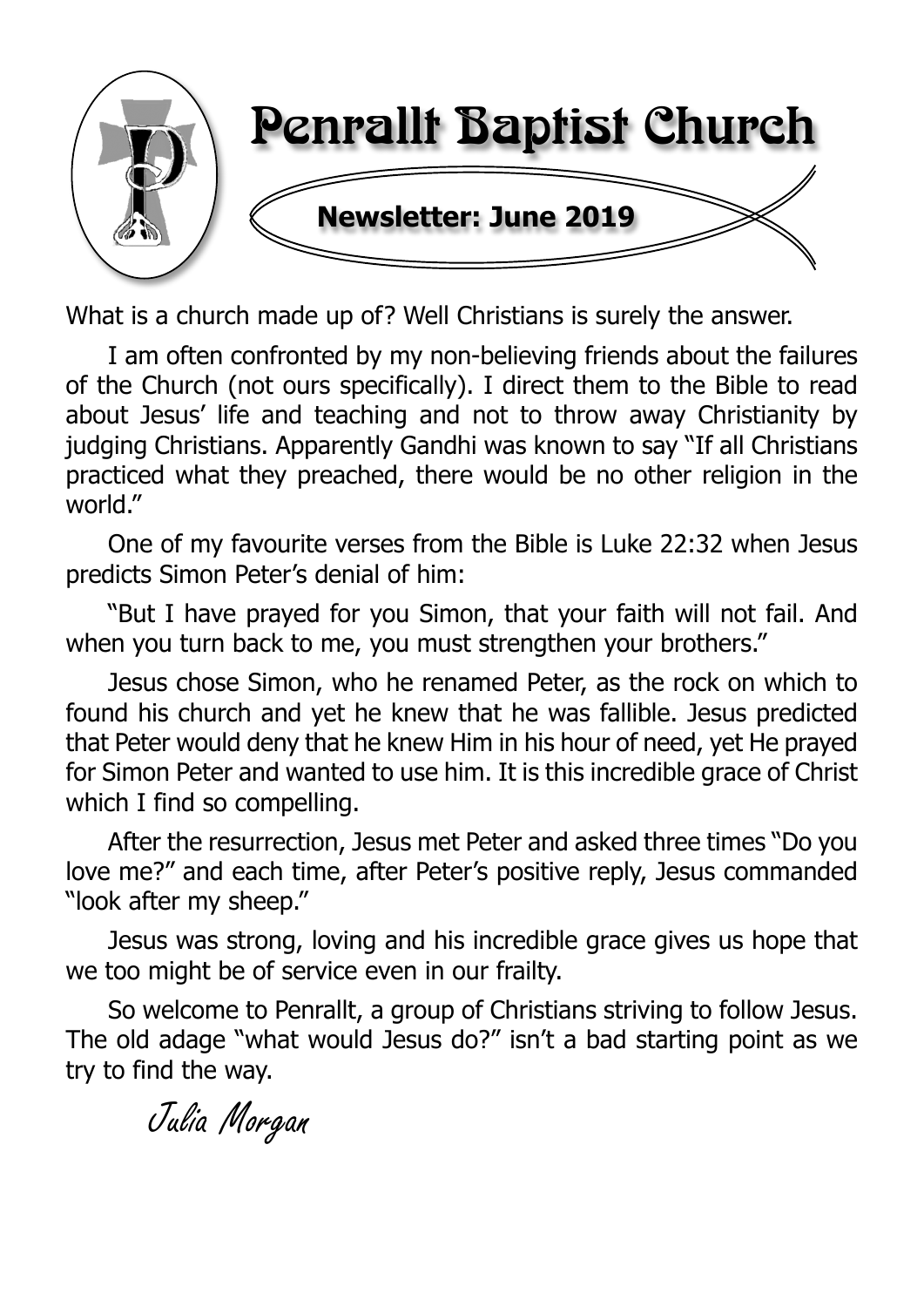

What is a church made up of? Well Christians is surely the answer.

I am often confronted by my non-believing friends about the failures of the Church (not ours specifically). I direct them to the Bible to read about Jesus' life and teaching and not to throw away Christianity by judging Christians. Apparently Gandhi was known to say "If all Christians practiced what they preached, there would be no other religion in the world."

One of my favourite verses from the Bible is Luke 22:32 when Jesus predicts Simon Peter's denial of him:

"But I have prayed for you Simon, that your faith will not fail. And when you turn back to me, you must strengthen your brothers."

Jesus chose Simon, who he renamed Peter, as the rock on which to found his church and yet he knew that he was fallible. Jesus predicted that Peter would deny that he knew Him in his hour of need, yet He prayed for Simon Peter and wanted to use him. It is this incredible grace of Christ which I find so compelling.

After the resurrection, Jesus met Peter and asked three times "Do you love me?" and each time, after Peter's positive reply, Jesus commanded "look after my sheep."

Jesus was strong, loving and his incredible grace gives us hope that we too might be of service even in our frailty.

So welcome to Penrallt, a group of Christians striving to follow Jesus. The old adage "what would Jesus do?" isn't a bad starting point as we try to find the way.

Julia Morgan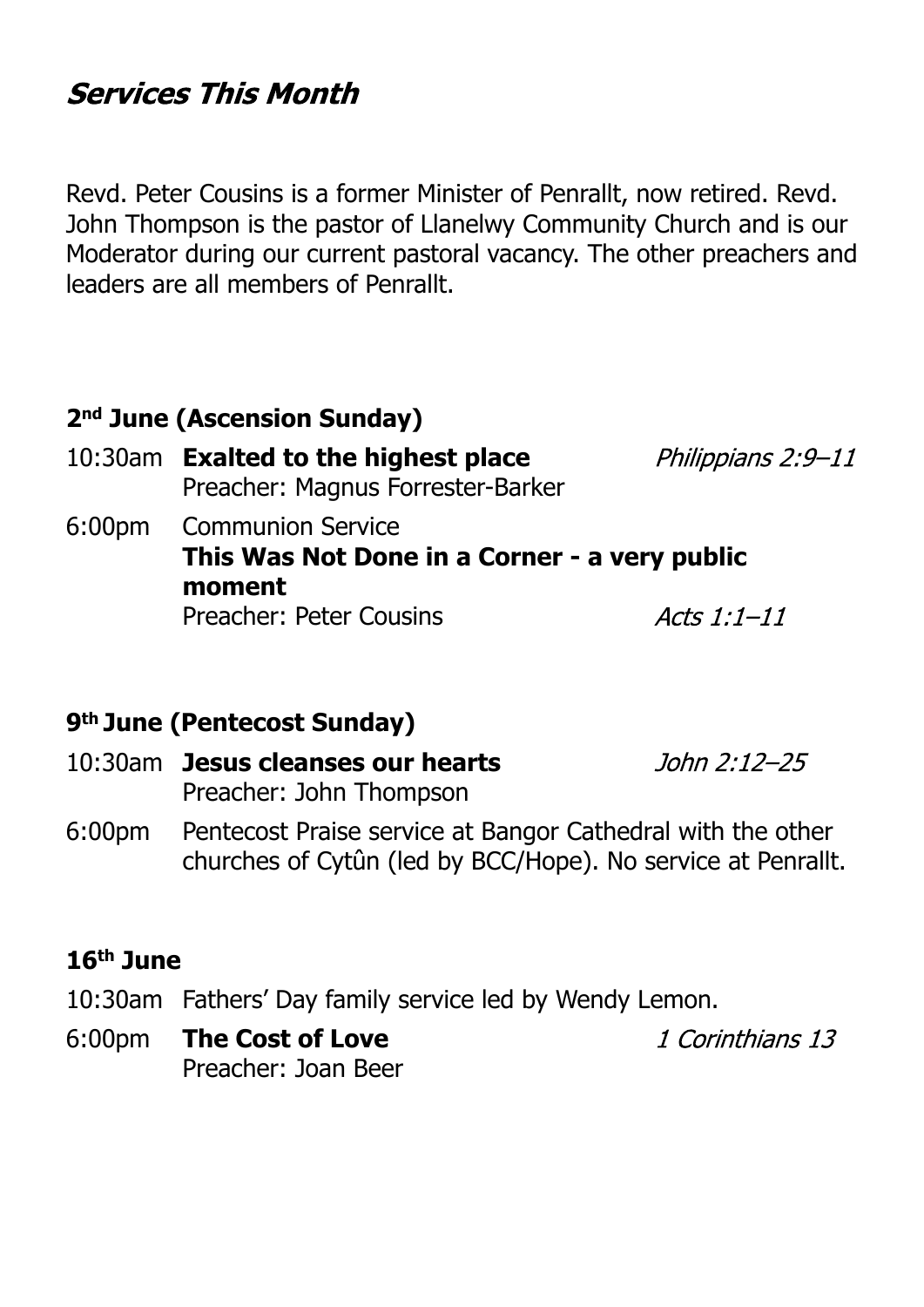## **Services This Month**

Revd. Peter Cousins is a former Minister of Penrallt, now retired. Revd. John Thompson is the pastor of Llanelwy Community Church and is our Moderator during our current pastoral vacancy. The other preachers and leaders are all members of Penrallt.

## **2nd June (Ascension Sunday)**

- 10:30am **Exalted to the highest place** Philippians 2:9-11 Preacher: Magnus Forrester-Barker 6:00pm Communion Service
	- **This Was Not Done in a Corner a very public moment** Preacher: Peter Cousins Acts  $1:1-11$

#### **9th June (Pentecost Sunday)**

- 10:30am **Jesus cleanses our hearts** John 2:12–25 Preacher: John Thompson
- 6:00pm Pentecost Praise service at Bangor Cathedral with the other churches of Cytûn (led by BCC/Hope). No service at Penrallt.

#### **16th June**

- 10:30am Fathers' Day family service led by Wendy Lemon.
- 6:00pm **The Cost of Love** Preacher: Joan Beer

1 Corinthians 13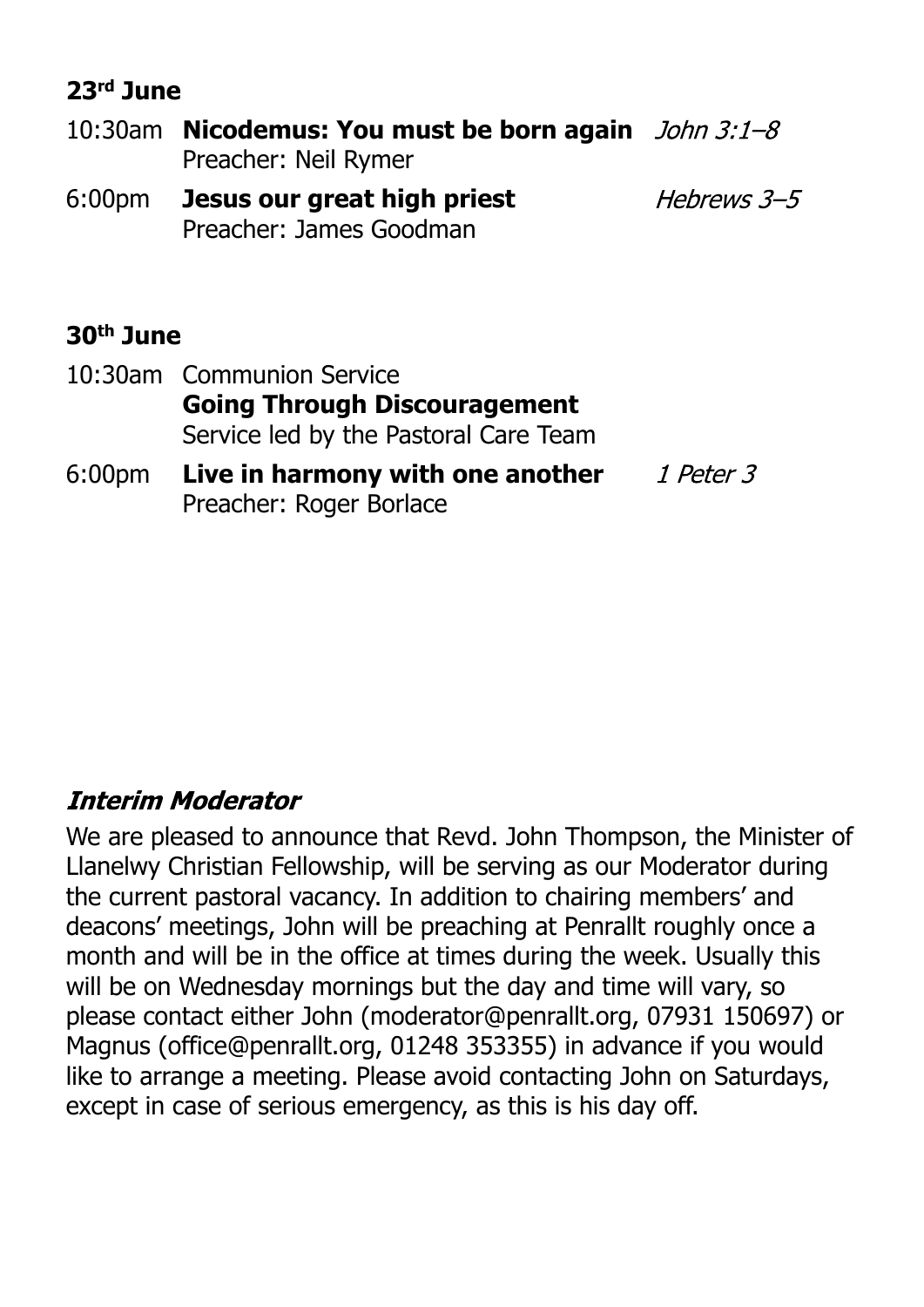## **23rd June**

10:30am **Nicodemus: You must be born again** Preacher: Neil Rymer 6:00pm **Jesus our great high priest** Hebrews 3-5 Preacher: James Goodman

## **30th June**

- 10:30am Communion Service **Going Through Discouragement** Service led by the Pastoral Care Team
- 6:00pm **Live in harmony with one another** 1 Peter 3 Preacher: Roger Borlace

## **Interim Moderator**

We are pleased to announce that Revd. John Thompson, the Minister of Llanelwy Christian Fellowship, will be serving as our Moderator during the current pastoral vacancy. In addition to chairing members' and deacons' meetings, John will be preaching at Penrallt roughly once a month and will be in the office at times during the week. Usually this will be on Wednesday mornings but the day and time will vary, so please contact either John (moderator@penrallt.org, 07931 150697) or Magnus (office@penrallt.org, 01248 353355) in advance if you would like to arrange a meeting. Please avoid contacting John on Saturdays, except in case of serious emergency, as this is his day off.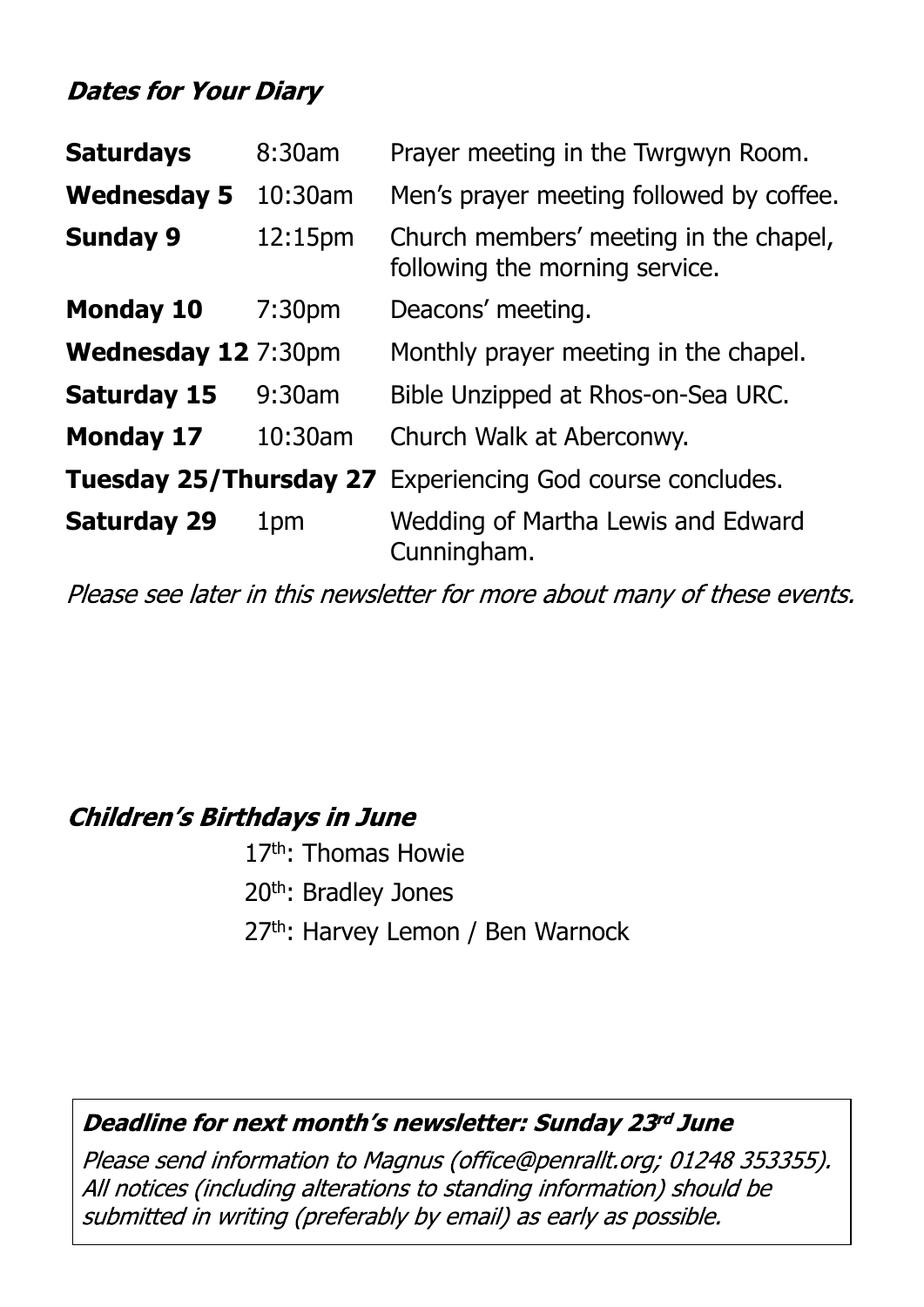## **Dates for Your Diary**

| <b>Saturdays</b>                 | 8:30am             | Prayer meeting in the Twrgwyn Room.                                      |  |
|----------------------------------|--------------------|--------------------------------------------------------------------------|--|
| <b>Wednesday 5</b><br>$10:30$ am |                    | Men's prayer meeting followed by coffee.                                 |  |
| <b>Sunday 9</b>                  | 12:15pm            | Church members' meeting in the chapel,<br>following the morning service. |  |
| <b>Monday 10</b>                 | 7:30 <sub>pm</sub> | Deacons' meeting.                                                        |  |
| Wednesday 12 7:30pm              |                    | Monthly prayer meeting in the chapel.                                    |  |
| <b>Saturday 15</b>               | 9:30am             | Bible Unzipped at Rhos-on-Sea URC.                                       |  |
| <b>Monday 17</b>                 | 10:30am            | Church Walk at Aberconwy.                                                |  |
|                                  |                    | <b>Tuesday 25/Thursday 27</b> Experiencing God course concludes.         |  |
| <b>Saturday 29</b>               | 1pm                | Wedding of Martha Lewis and Edward<br>Cunningham.                        |  |

Please see later in this newsletter for more about many of these events.

## **Children's Birthdays in June**

17<sup>th</sup>: Thomas Howie 20th: Bradley Jones 27th: Harvey Lemon / Ben Warnock

#### Deadline for next month's newsletter: Sunday 23rd June

Please send information to Magnus (office@penrallt.org; 01248 353355). All notices (including alterations to standing information) should be submitted in writing (preferably by email) as early as possible.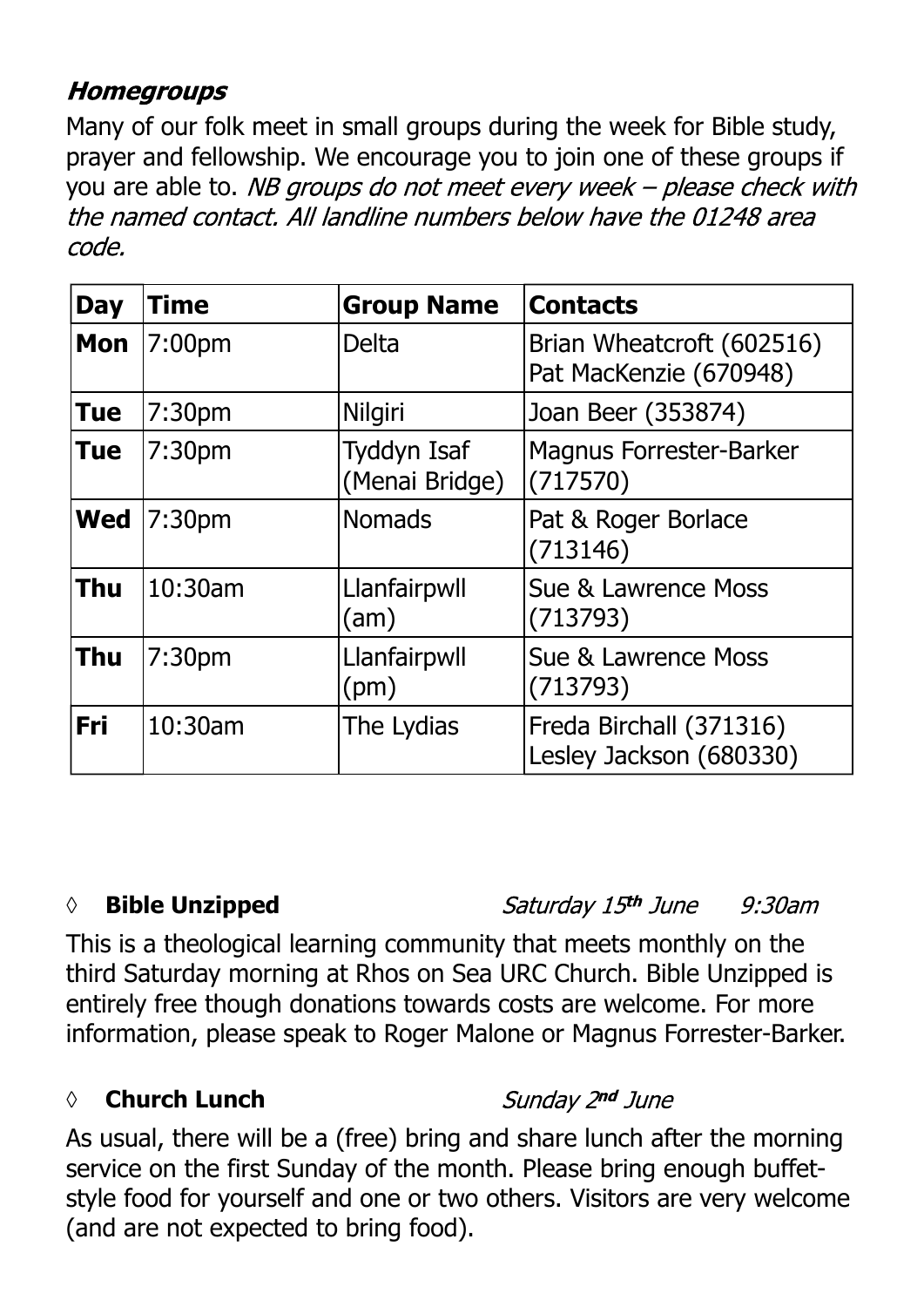## **Homegroups**

Many of our folk meet in small groups during the week for Bible study, prayer and fellowship. We encourage you to join one of these groups if you are able to. NB groups do not meet every week – please check with the named contact. All landline numbers below have the 01248 area code.

| <b>Day</b> | Time               | <b>Group Name</b>                    | <b>Contacts</b>                                     |
|------------|--------------------|--------------------------------------|-----------------------------------------------------|
| Mon        | 7:00pm             | <b>Delta</b>                         | Brian Wheatcroft (602516)<br>Pat MacKenzie (670948) |
| <b>Tue</b> | 7:30 <sub>pm</sub> | Nilgiri                              | Joan Beer (353874)                                  |
| <b>Tue</b> | 7:30 <sub>pm</sub> | <b>Tyddyn Isaf</b><br>(Menai Bridge) | <b>Magnus Forrester-Barker</b><br>(717570)          |
| <b>Wed</b> | 7:30 <sub>pm</sub> | <b>Nomads</b>                        | Pat & Roger Borlace<br>(713146)                     |
| <b>Thu</b> | 10:30am            | Llanfairpwll<br>(am)                 | Sue & Lawrence Moss<br>(713793)                     |
| <b>Thu</b> | 7:30 <sub>pm</sub> | Llanfairpwll<br>(pm)                 | Sue & Lawrence Moss<br>(713793)                     |
| Fri        | 10:30am            | The Lydias                           | Freda Birchall (371316)<br>Lesley Jackson (680330)  |

#### *◊* **Bible Unzipped**

Saturday 15th June  $9:30$ am

This is a theological learning community that meets monthly on the third Saturday morning at Rhos on Sea URC Church. Bible Unzipped is entirely free though donations towards costs are welcome. For more information, please speak to Roger Malone or Magnus Forrester-Barker.

#### *◊* **Church Lunch**

Sunday 2nd June

As usual, there will be a (free) bring and share lunch after the morning service on the first Sunday of the month. Please bring enough buffetstyle food for yourself and one or two others. Visitors are very welcome (and are not expected to bring food).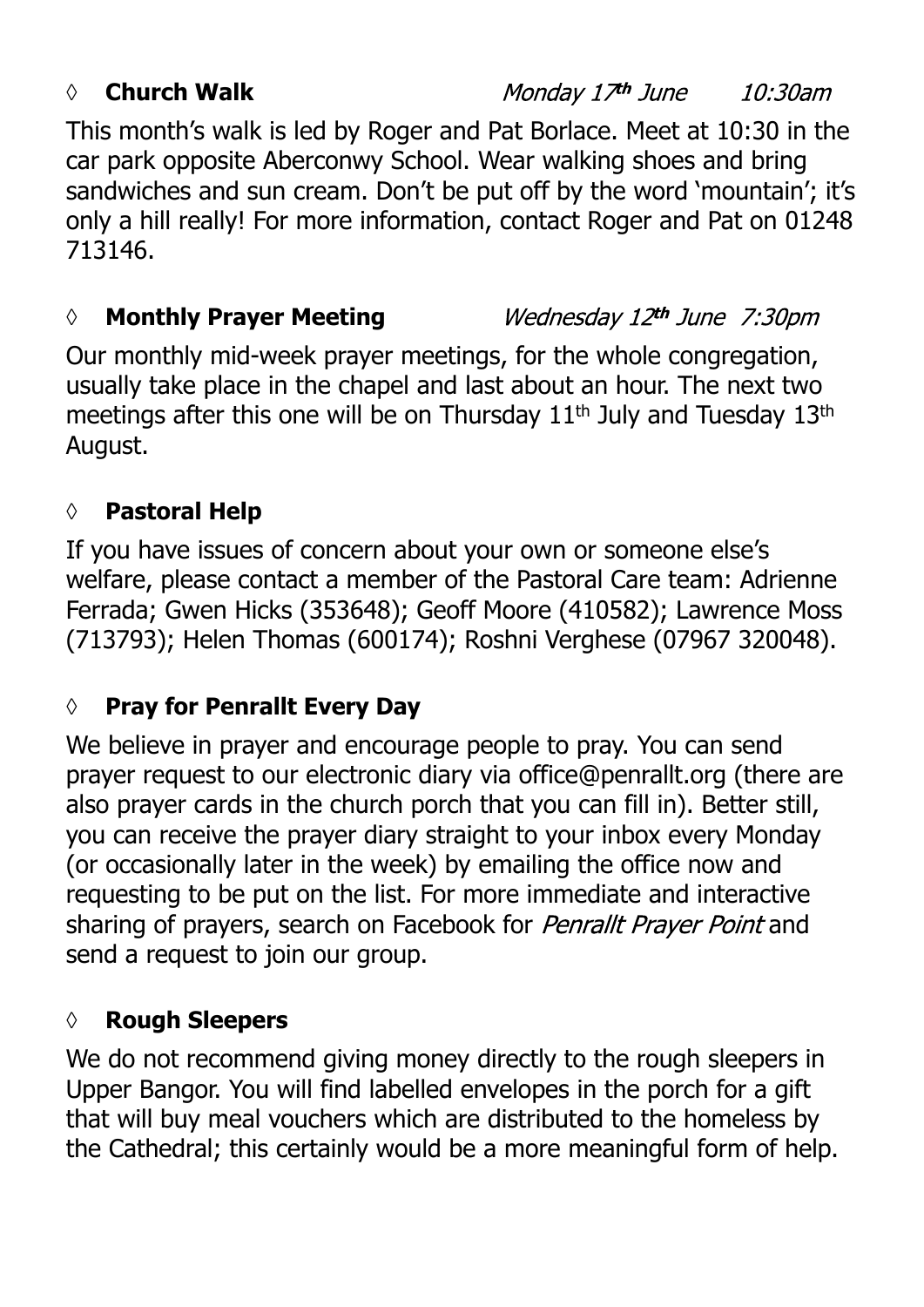#### *◊* **Church Walk**

Monday 17th June 10:30am

This month's walk is led by Roger and Pat Borlace. Meet at 10:30 in the car park opposite Aberconwy School. Wear walking shoes and bring sandwiches and sun cream. Don't be put off by the word 'mountain'; it's only a hill really! For more information, contact Roger and Pat on 01248 713146.

#### *◊* **Monthly Prayer Meeting**

Wednesday 12th June 7:30pm

Our monthly mid-week prayer meetings, for the whole congregation, usually take place in the chapel and last about an hour. The next two meetings after this one will be on Thursday 11<sup>th</sup> July and Tuesday 13<sup>th</sup> August.

## **◊ Pastoral Help**

If you have issues of concern about your own or someone else's welfare, please contact a member of the Pastoral Care team: Adrienne Ferrada; Gwen Hicks (353648); Geoff Moore (410582); Lawrence Moss (713793); Helen Thomas (600174); Roshni Verghese (07967 320048).

## **◊ Pray for Penrallt Every Day**

We believe in prayer and encourage people to pray. You can send prayer request to our electronic diary via office@penrallt.org (there are also prayer cards in the church porch that you can fill in). Better still, you can receive the prayer diary straight to your inbox every Monday (or occasionally later in the week) by emailing the office now and requesting to be put on the list. For more immediate and interactive sharing of prayers, search on Facebook for Penrallt Prayer Point and send a request to join our group.

#### **◊ Rough Sleepers**

We do not recommend giving money directly to the rough sleepers in Upper Bangor. You will find labelled envelopes in the porch for a gift that will buy meal vouchers which are distributed to the homeless by the Cathedral; this certainly would be a more meaningful form of help.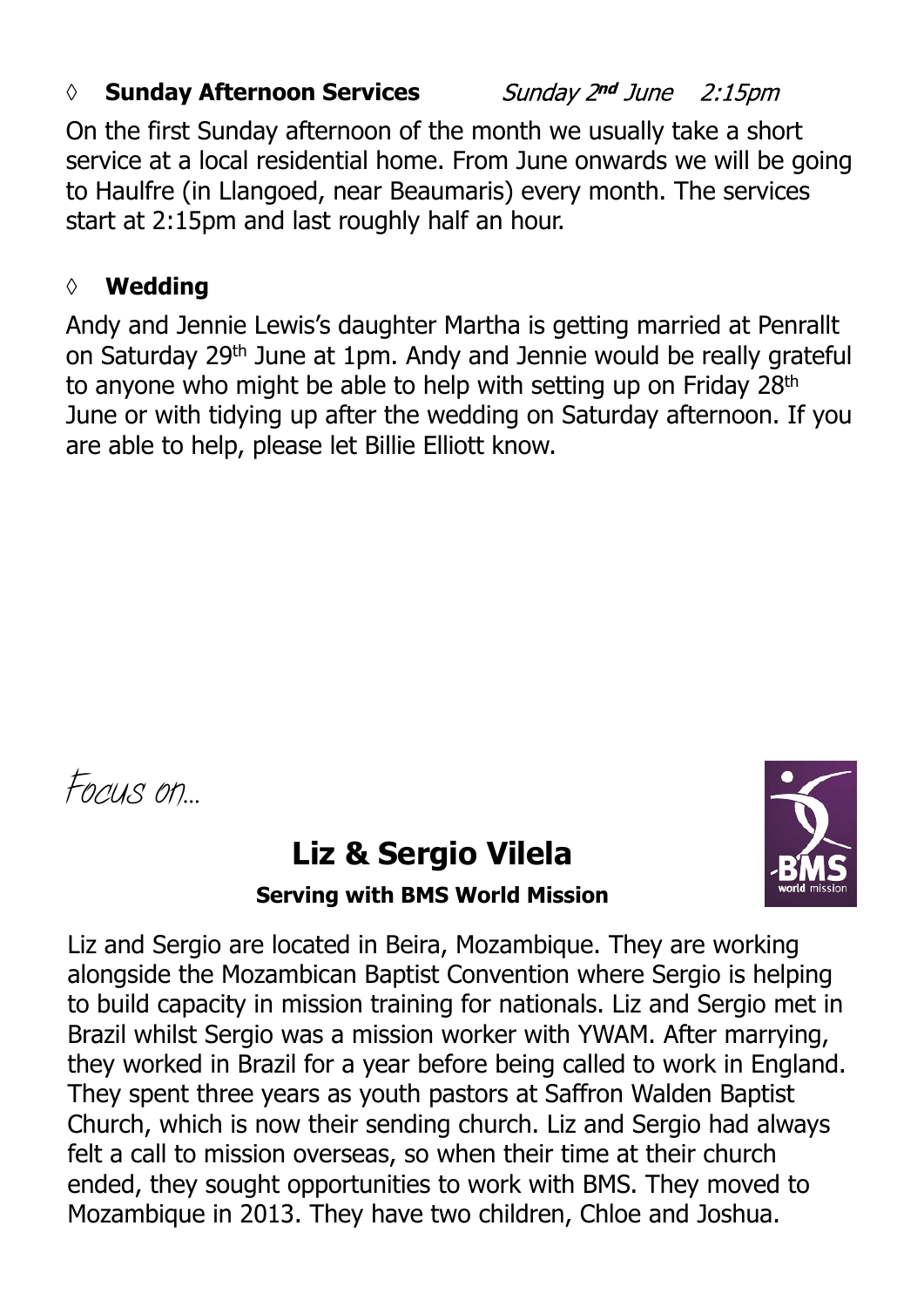#### *◊* **Sunday Afternoon Services**

Sunday 2nd June 2:15pm

On the first Sunday afternoon of the month we usually take a short service at a local residential home. From June onwards we will be going to Haulfre (in Llangoed, near Beaumaris) every month. The services start at 2:15pm and last roughly half an hour.

#### **◊ Wedding**

Andy and Jennie Lewis's daughter Martha is getting married at Penrallt on Saturday 29th June at 1pm. Andy and Jennie would be really grateful to anyone who might be able to help with setting up on Friday 28<sup>th</sup> June or with tidying up after the wedding on Saturday afternoon. If you are able to help, please let Billie Elliott know.

*Focus on…*

# **Liz & Sergio Vilela**



**Serving with BMS World Mission**

Liz and Sergio are located in Beira, Mozambique. They are working alongside the Mozambican Baptist Convention where Sergio is helping to build capacity in mission training for nationals. Liz and Sergio met in Brazil whilst Sergio was a mission worker with YWAM. After marrying, they worked in Brazil for a year before being called to work in England. They spent three years as youth pastors at Saffron Walden Baptist Church, which is now their sending church. Liz and Sergio had always felt a call to mission overseas, so when their time at their church ended, they sought opportunities to work with BMS. They moved to Mozambique in 2013. They have two children, Chloe and Joshua.